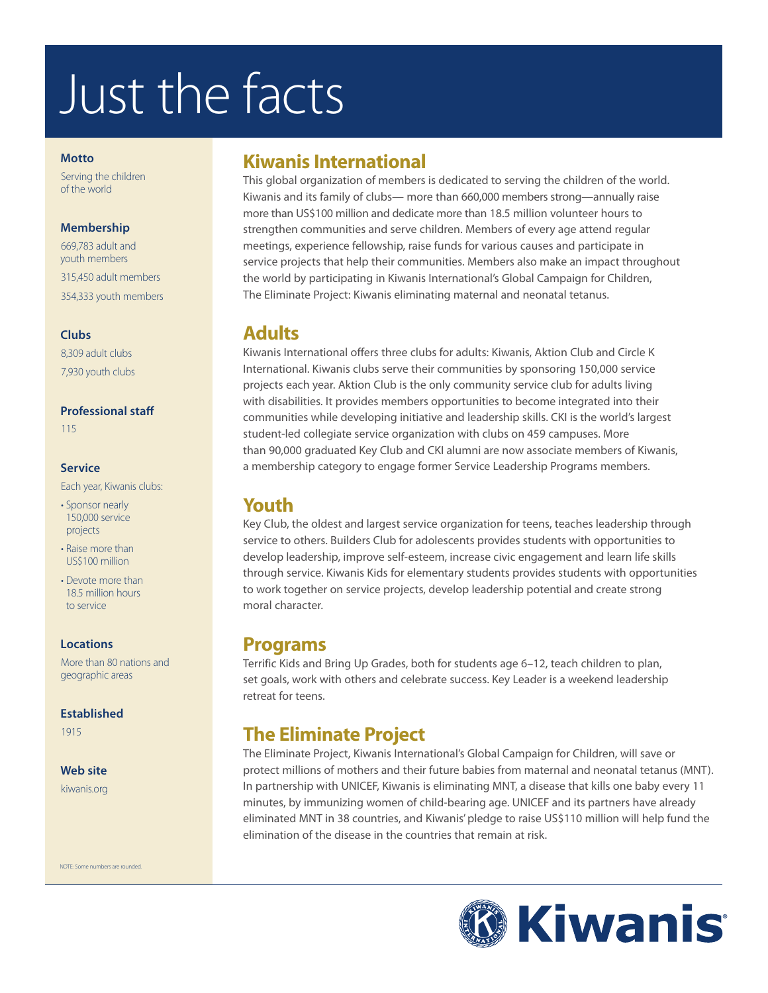# Just the facts

#### **Motto**

Serving the children of the world

#### **Membership**

669,783 adult and youth members 315,450 adult members 354,333 youth members

#### **Clubs**

8,309 adult clubs 7,930 youth clubs

#### **Professional staff**

115

#### **Service**

Each year, Kiwanis clubs:

- Sponsor nearly 150,000 service projects
- Raise more than US\$100 million
- Devote more than 18.5 million hours to service

#### **Locations**

More than 80 nations and geographic areas

#### **Established**

1915

#### **Web site**

kiwanis.org

NOTE: Some numbers are rounded.

# **Kiwanis International**

This global organization of members is dedicated to serving the children of the world. Kiwanis and its family of clubs— more than 660,000 members strong—annually raise more than US\$100 million and dedicate more than 18.5 million volunteer hours to strengthen communities and serve children. Members of every age attend regular meetings, experience fellowship, raise funds for various causes and participate in service projects that help their communities. Members also make an impact throughout the world by participating in Kiwanis International's Global Campaign for Children, The Eliminate Project: Kiwanis eliminating maternal and neonatal tetanus.

### **Adults**

Kiwanis International offers three clubs for adults: Kiwanis, Aktion Club and Circle K International. Kiwanis clubs serve their communities by sponsoring 150,000 service projects each year. Aktion Club is the only community service club for adults living with disabilities. It provides members opportunities to become integrated into their communities while developing initiative and leadership skills. CKI is the world's largest student-led collegiate service organization with clubs on 459 campuses. More than 90,000 graduated Key Club and CKI alumni are now associate members of Kiwanis, a membership category to engage former Service Leadership Programs members.

# **Youth**

Key Club, the oldest and largest service organization for teens, teaches leadership through service to others. Builders Club for adolescents provides students with opportunities to develop leadership, improve self-esteem, increase civic engagement and learn life skills through service. Kiwanis Kids for elementary students provides students with opportunities to work together on service projects, develop leadership potential and create strong moral character.

# **Programs**

Terrific Kids and Bring Up Grades, both for students age 6–12, teach children to plan, set goals, work with others and celebrate success. Key Leader is a weekend leadership retreat for teens.

# **The Eliminate Project**

The Eliminate Project, Kiwanis International's Global Campaign for Children, will save or protect millions of mothers and their future babies from maternal and neonatal tetanus (MNT). In partnership with UNICEF, Kiwanis is eliminating MNT, a disease that kills one baby every 11 minutes, by immunizing women of child-bearing age. UNICEF and its partners have already eliminated MNT in 38 countries, and Kiwanis' pledge to raise US\$110 million will help fund the elimination of the disease in the countries that remain at risk.